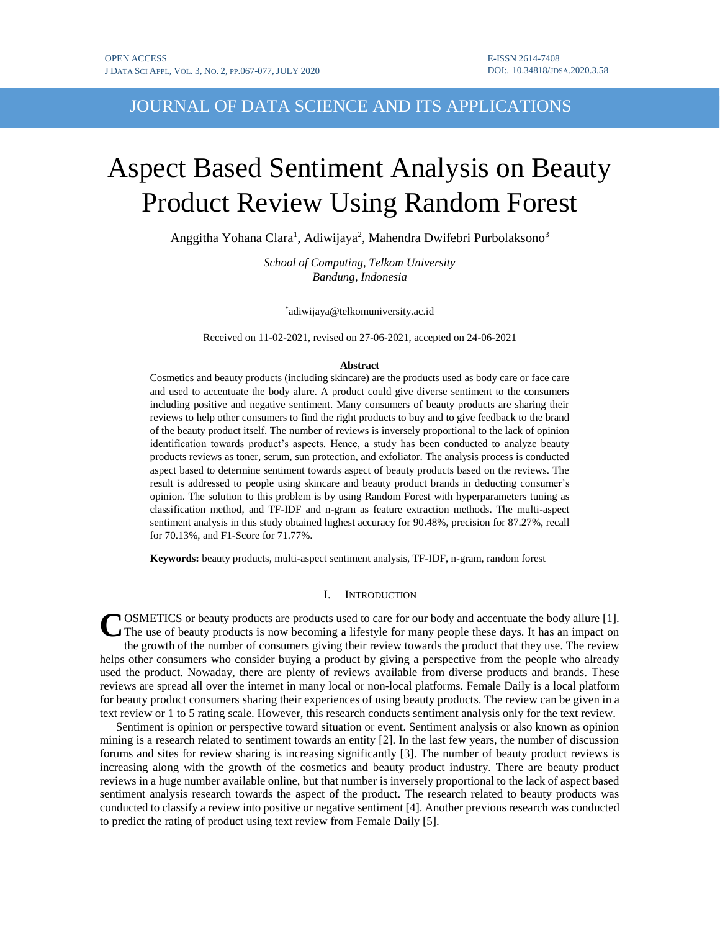# JOURNAL OF DATA SCIENCE AND ITS APPLICATIONS

# Aspect Based Sentiment Analysis on Beauty Product Review Using Random Forest

Anggitha Yohana Clara<sup>1</sup>, Adiwijaya<sup>2</sup>, Mahendra Dwifebri Purbolaksono<sup>3</sup>

*School of Computing, Telkom University Bandung, Indonesia*

\* adiwijaya@telkomuniversity.ac.id

Received on 11-02-2021, revised on 27-06-2021, accepted on 24-06-2021

#### **Abstract**

Cosmetics and beauty products (including skincare) are the products used as body care or face care and used to accentuate the body alure. A product could give diverse sentiment to the consumers including positive and negative sentiment. Many consumers of beauty products are sharing their reviews to help other consumers to find the right products to buy and to give feedback to the brand of the beauty product itself. The number of reviews is inversely proportional to the lack of opinion identification towards product's aspects. Hence, a study has been conducted to analyze beauty products reviews as toner, serum, sun protection, and exfoliator. The analysis process is conducted aspect based to determine sentiment towards aspect of beauty products based on the reviews. The result is addressed to people using skincare and beauty product brands in deducting consumer's opinion. The solution to this problem is by using Random Forest with hyperparameters tuning as classification method, and TF-IDF and n-gram as feature extraction methods. The multi-aspect sentiment analysis in this study obtained highest accuracy for 90.48%, precision for 87.27%, recall for 70.13%, and F1-Score for 71.77%.

**Keywords:** beauty products, multi-aspect sentiment analysis, TF-IDF, n-gram, random forest

# I. INTRODUCTION

COSMETICS or beauty products are products used to care for our body and accentuate the body allure [1].<br>
The use of beauty products is now becoming a lifestyle for many people these days. It has an impact on The use of beauty products is now becoming a lifestyle for many people these days. It has an impact on the growth of the number of consumers giving their review towards the product that they use. The review helps other consumers who consider buying a product by giving a perspective from the people who already used the product. Nowaday, there are plenty of reviews available from diverse products and brands. These reviews are spread all over the internet in many local or non-local platforms. Female Daily is a local platform for beauty product consumers sharing their experiences of using beauty products. The review can be given in a text review or 1 to 5 rating scale. However, this research conducts sentiment analysis only for the text review.

Sentiment is opinion or perspective toward situation or event. Sentiment analysis or also known as opinion mining is a research related to sentiment towards an entity [2]. In the last few years, the number of discussion forums and sites for review sharing is increasing significantly [3]. The number of beauty product reviews is increasing along with the growth of the cosmetics and beauty product industry. There are beauty product reviews in a huge number available online, but that number is inversely proportional to the lack of aspect based sentiment analysis research towards the aspect of the product. The research related to beauty products was conducted to classify a review into positive or negative sentiment [4]. Another previous research was conducted to predict the rating of product using text review from Female Daily [5].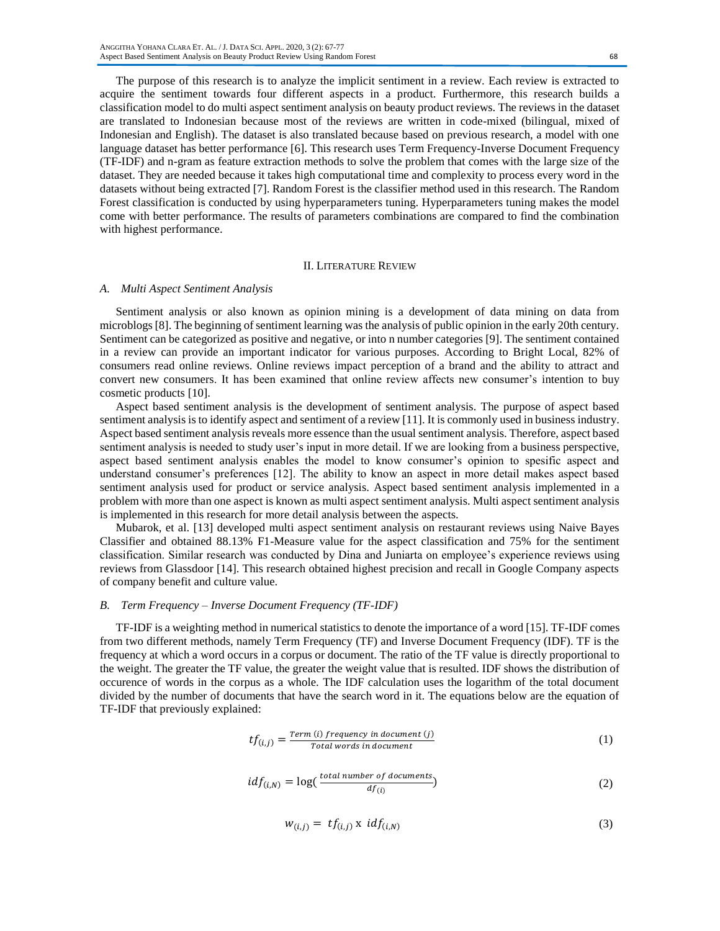The purpose of this research is to analyze the implicit sentiment in a review. Each review is extracted to acquire the sentiment towards four different aspects in a product. Furthermore, this research builds a classification model to do multi aspect sentiment analysis on beauty product reviews. The reviews in the dataset are translated to Indonesian because most of the reviews are written in code-mixed (bilingual, mixed of Indonesian and English). The dataset is also translated because based on previous research, a model with one language dataset has better performance [6]. This research uses Term Frequency-Inverse Document Frequency (TF-IDF) and n-gram as feature extraction methods to solve the problem that comes with the large size of the dataset. They are needed because it takes high computational time and complexity to process every word in the datasets without being extracted [7]. Random Forest is the classifier method used in this research. The Random Forest classification is conducted by using hyperparameters tuning. Hyperparameters tuning makes the model come with better performance. The results of parameters combinations are compared to find the combination with highest performance.

#### II. LITERATURE REVIEW

# *A. Multi Aspect Sentiment Analysis*

Sentiment analysis or also known as opinion mining is a development of data mining on data from microblogs [8]. The beginning of sentiment learning was the analysis of public opinion in the early 20th century. Sentiment can be categorized as positive and negative, or into n number categories [9]. The sentiment contained in a review can provide an important indicator for various purposes. According to Bright Local, 82% of consumers read online reviews. Online reviews impact perception of a brand and the ability to attract and convert new consumers. It has been examined that online review affects new consumer's intention to buy cosmetic products [10].

Aspect based sentiment analysis is the development of sentiment analysis. The purpose of aspect based sentiment analysis is to identify aspect and sentiment of a review [11]. It is commonly used in business industry. Aspect based sentiment analysis reveals more essence than the usual sentiment analysis. Therefore, aspect based sentiment analysis is needed to study user's input in more detail. If we are looking from a business perspective, aspect based sentiment analysis enables the model to know consumer's opinion to spesific aspect and understand consumer's preferences [12]. The ability to know an aspect in more detail makes aspect based sentiment analysis used for product or service analysis. Aspect based sentiment analysis implemented in a problem with more than one aspect is known as multi aspect sentiment analysis. Multi aspect sentiment analysis is implemented in this research for more detail analysis between the aspects.

Mubarok, et al. [13] developed multi aspect sentiment analysis on restaurant reviews using Naive Bayes Classifier and obtained 88.13% F1-Measure value for the aspect classification and 75% for the sentiment classification. Similar research was conducted by Dina and Juniarta on employee's experience reviews using reviews from Glassdoor [14]. This research obtained highest precision and recall in Google Company aspects of company benefit and culture value.

## *B. Term Frequency – Inverse Document Frequency (TF-IDF)*

TF-IDF is a weighting method in numerical statistics to denote the importance of a word [15]. TF-IDF comes from two different methods, namely Term Frequency (TF) and Inverse Document Frequency (IDF). TF is the frequency at which a word occurs in a corpus or document. The ratio of the TF value is directly proportional to the weight. The greater the TF value, the greater the weight value that is resulted. IDF shows the distribution of occurence of words in the corpus as a whole. The IDF calculation uses the logarithm of the total document divided by the number of documents that have the search word in it. The equations below are the equation of TF-IDF that previously explained:

$$
tf_{(i,j)} = \frac{Term(i) \text{ frequency in document}(j)}{Total words in document}
$$
\n(1)

$$
idf_{(i,N)} = \log(\frac{total\ number\ of\ documents}{df_{(i)}})
$$
\n(2)

$$
w_{(i,j)} = tf_{(i,j)} \times idf_{(i,N)} \tag{3}
$$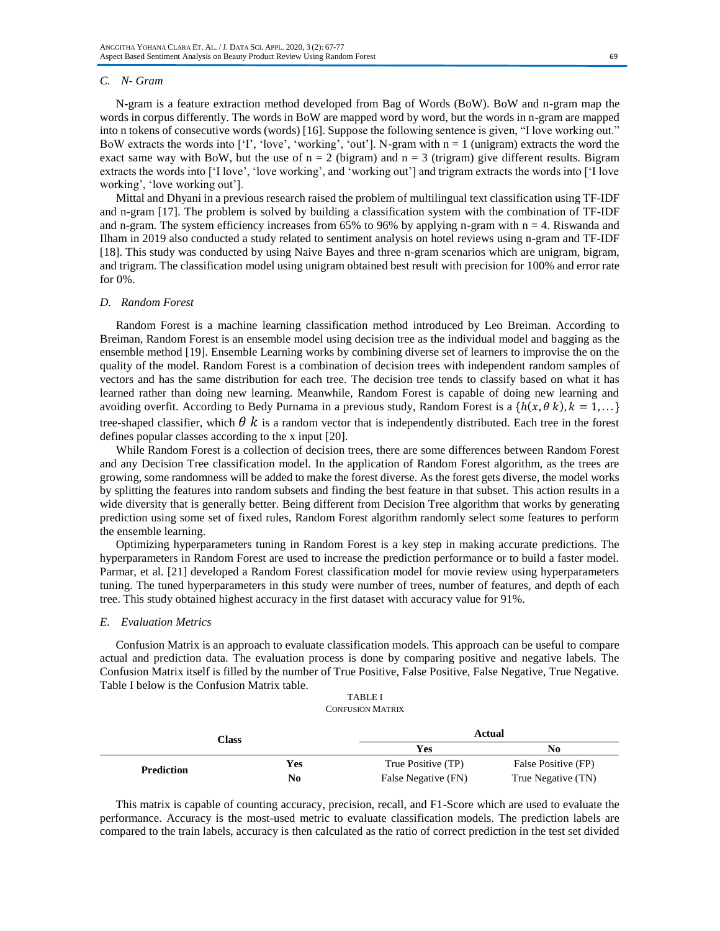#### *C. N- Gram*

N-gram is a feature extraction method developed from Bag of Words (BoW). BoW and n-gram map the words in corpus differently. The words in BoW are mapped word by word, but the words in n-gram are mapped into n tokens of consecutive words (words) [16]. Suppose the following sentence is given, "I love working out." BoW extracts the words into  $[1]$ , 'love', 'working', 'out']. N-gram with  $n = 1$  (unigram) extracts the word the exact same way with BoW, but the use of  $n = 2$  (bigram) and  $n = 3$  (trigram) give different results. Bigram extracts the words into ['I love', 'love working', and 'working out'] and trigram extracts the words into ['I love working', 'love working out'].

Mittal and Dhyani in a previous research raised the problem of multilingual text classification using TF-IDF and n-gram [17]. The problem is solved by building a classification system with the combination of TF-IDF and n-gram. The system efficiency increases from  $65\%$  to  $96\%$  by applying n-gram with  $n = 4$ . Riswanda and Ilham in 2019 also conducted a study related to sentiment analysis on hotel reviews using n-gram and TF-IDF [18]. This study was conducted by using Naive Bayes and three n-gram scenarios which are unigram, bigram, and trigram. The classification model using unigram obtained best result with precision for 100% and error rate for 0%.

# *D. Random Forest*

Random Forest is a machine learning classification method introduced by Leo Breiman. According to Breiman, Random Forest is an ensemble model using decision tree as the individual model and bagging as the ensemble method [19]. Ensemble Learning works by combining diverse set of learners to improvise the on the quality of the model. Random Forest is a combination of decision trees with independent random samples of vectors and has the same distribution for each tree. The decision tree tends to classify based on what it has learned rather than doing new learning. Meanwhile, Random Forest is capable of doing new learning and avoiding overfit. According to Bedy Purnama in a previous study, Random Forest is a  $\{h(x, \theta k), k = 1, ...\}$ tree-shaped classifier, which  $\theta$  k is a random vector that is independently distributed. Each tree in the forest defines popular classes according to the x input [20].

While Random Forest is a collection of decision trees, there are some differences between Random Forest and any Decision Tree classification model. In the application of Random Forest algorithm, as the trees are growing, some randomness will be added to make the forest diverse. As the forest gets diverse, the model works by splitting the features into random subsets and finding the best feature in that subset. This action results in a wide diversity that is generally better. Being different from Decision Tree algorithm that works by generating prediction using some set of fixed rules, Random Forest algorithm randomly select some features to perform the ensemble learning.

Optimizing hyperparameters tuning in Random Forest is a key step in making accurate predictions. The hyperparameters in Random Forest are used to increase the prediction performance or to build a faster model. Parmar, et al. [21] developed a Random Forest classification model for movie review using hyperparameters tuning. The tuned hyperparameters in this study were number of trees, number of features, and depth of each tree. This study obtained highest accuracy in the first dataset with accuracy value for 91%.

#### *E. Evaluation Metrics*

Confusion Matrix is an approach to evaluate classification models. This approach can be useful to compare actual and prediction data. The evaluation process is done by comparing positive and negative labels. The Confusion Matrix itself is filled by the number of True Positive, False Positive, False Negative, True Negative. Table I below is the Confusion Matrix table.

#### TABLE I CONFUSION MATRIX

| Class             |     | Actual              |                     |  |
|-------------------|-----|---------------------|---------------------|--|
|                   |     | <b>Yes</b>          | No                  |  |
| <b>Prediction</b> | Yes | True Positive (TP)  | False Positive (FP) |  |
|                   | No  | False Negative (FN) | True Negative (TN)  |  |

This matrix is capable of counting accuracy, precision, recall, and F1-Score which are used to evaluate the performance. Accuracy is the most-used metric to evaluate classification models. The prediction labels are compared to the train labels, accuracy is then calculated as the ratio of correct prediction in the test set divided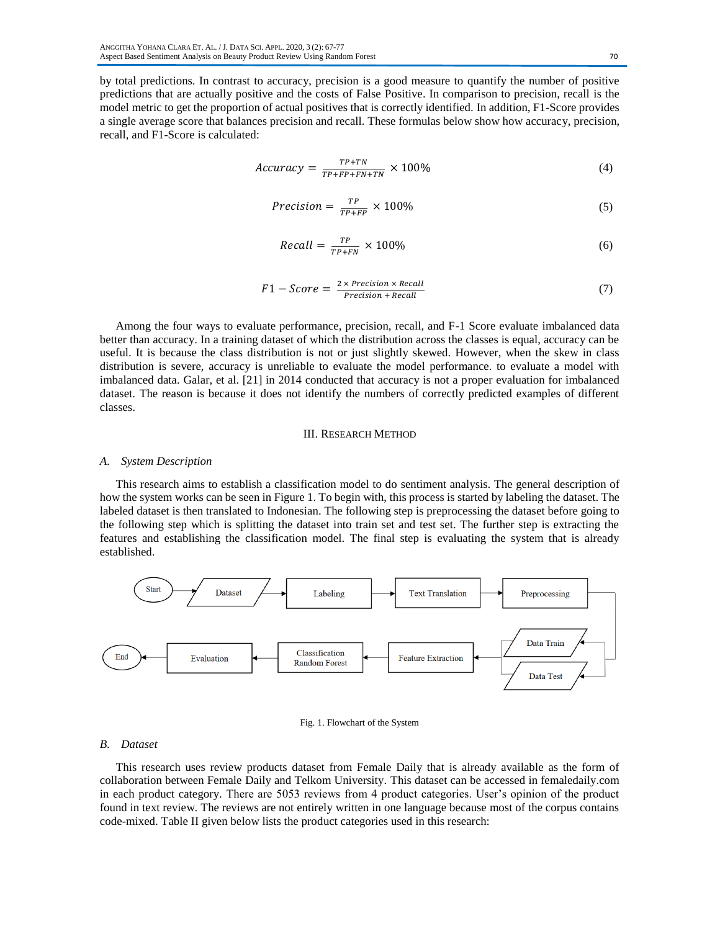by total predictions. In contrast to accuracy, precision is a good measure to quantify the number of positive predictions that are actually positive and the costs of False Positive. In comparison to precision, recall is the model metric to get the proportion of actual positives that is correctly identified. In addition, F1-Score provides a single average score that balances precision and recall. These formulas below show how accuracy, precision, recall, and F1-Score is calculated:

$$
Accuracy = \frac{TP + TN}{TP + FP + FN + TN} \times 100\% \tag{4}
$$

$$
Precision = \frac{TP}{TP + FP} \times 100\%
$$
 (5)

$$
Recall = \frac{TP}{TP + FN} \times 100\%
$$
\n<sup>(6)</sup>

$$
F1 - Score = \frac{2 \times Precision \times Recall}{Precision + Recall}
$$
 (7)

Among the four ways to evaluate performance, precision, recall, and F-1 Score evaluate imbalanced data better than accuracy. In a training dataset of which the distribution across the classes is equal, accuracy can be useful. It is because the class distribution is not or just slightly skewed. However, when the skew in class distribution is severe, accuracy is unreliable to evaluate the model performance. to evaluate a model with imbalanced data. Galar, et al. [21] in 2014 conducted that accuracy is not a proper evaluation for imbalanced dataset. The reason is because it does not identify the numbers of correctly predicted examples of different classes.

# III. RESEARCH METHOD

#### *A. System Description*

This research aims to establish a classification model to do sentiment analysis. The general description of how the system works can be seen in Figure 1. To begin with, this process is started by labeling the dataset. The labeled dataset is then translated to Indonesian. The following step is preprocessing the dataset before going to the following step which is splitting the dataset into train set and test set. The further step is extracting the features and establishing the classification model. The final step is evaluating the system that is already established.





# *B. Dataset*

This research uses review products dataset from Female Daily that is already available as the form of collaboration between Female Daily and Telkom University. This dataset can be accessed in femaledaily.com in each product category. There are 5053 reviews from 4 product categories. User's opinion of the product found in text review. The reviews are not entirely written in one language because most of the corpus contains code-mixed. Table II given below lists the product categories used in this research: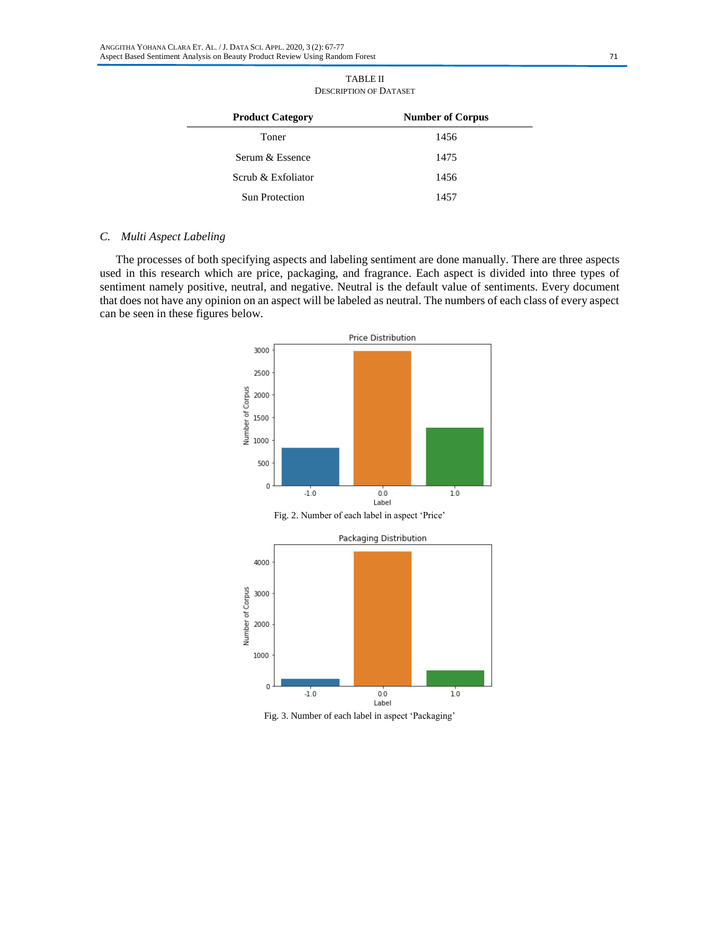| <b>Product Category</b> | <b>Number of Corpus</b> |
|-------------------------|-------------------------|
| Toner                   | 1456                    |
| Serum & Essence         | 1475                    |
| Scrub & Exfoliator      | 1456                    |
| <b>Sun Protection</b>   | 1457                    |

#### TABLE II DESCRIPTION OF DATASET

# *C. Multi Aspect Labeling*

The processes of both specifying aspects and labeling sentiment are done manually. There are three aspects used in this research which are price, packaging, and fragrance. Each aspect is divided into three types of sentiment namely positive, neutral, and negative. Neutral is the default value of sentiments. Every document that does not have any opinion on an aspect will be labeled as neutral. The numbers of each class of every aspect can be seen in these figures below.



Fig. 3. Number of each label in aspect 'Packaging'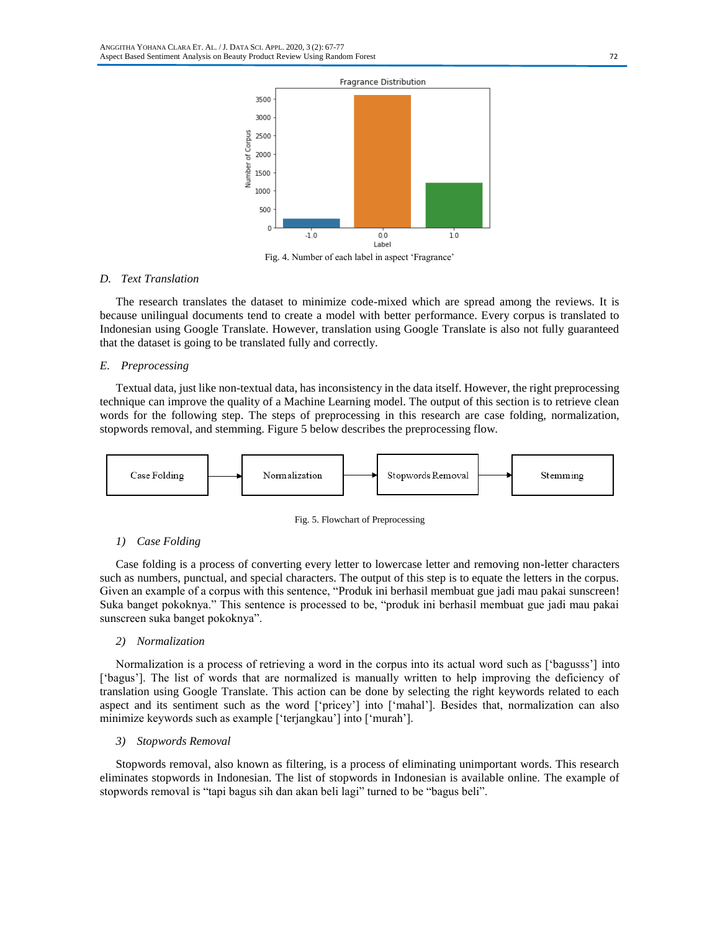

Fig. 4. Number of each label in aspect 'Fragrance'

# *D. Text Translation*

The research translates the dataset to minimize code-mixed which are spread among the reviews. It is because unilingual documents tend to create a model with better performance. Every corpus is translated to Indonesian using Google Translate. However, translation using Google Translate is also not fully guaranteed that the dataset is going to be translated fully and correctly.

## *E. Preprocessing*

Textual data, just like non-textual data, has inconsistency in the data itself. However, the right preprocessing technique can improve the quality of a Machine Learning model. The output of this section is to retrieve clean words for the following step. The steps of preprocessing in this research are case folding, normalization, stopwords removal, and stemming. Figure 5 below describes the preprocessing flow.



Fig. 5. Flowchart of Preprocessing

# *1) Case Folding*

Case folding is a process of converting every letter to lowercase letter and removing non-letter characters such as numbers, punctual, and special characters. The output of this step is to equate the letters in the corpus. Given an example of a corpus with this sentence, "Produk ini berhasil membuat gue jadi mau pakai sunscreen!" Suka banget pokoknya." This sentence is processed to be, "produk ini berhasil membuat gue jadi mau pakai sunscreen suka banget pokoknya".

#### *2) Normalization*

Normalization is a process of retrieving a word in the corpus into its actual word such as ['bagusss'] into ['bagus']. The list of words that are normalized is manually written to help improving the deficiency of translation using Google Translate. This action can be done by selecting the right keywords related to each aspect and its sentiment such as the word ['pricey'] into ['mahal']. Besides that, normalization can also minimize keywords such as example ['terjangkau'] into ['murah'].

# *3) Stopwords Removal*

Stopwords removal, also known as filtering, is a process of eliminating unimportant words. This research eliminates stopwords in Indonesian. The list of stopwords in Indonesian is available online. The example of stopwords removal is "tapi bagus sih dan akan beli lagi" turned to be "bagus beli".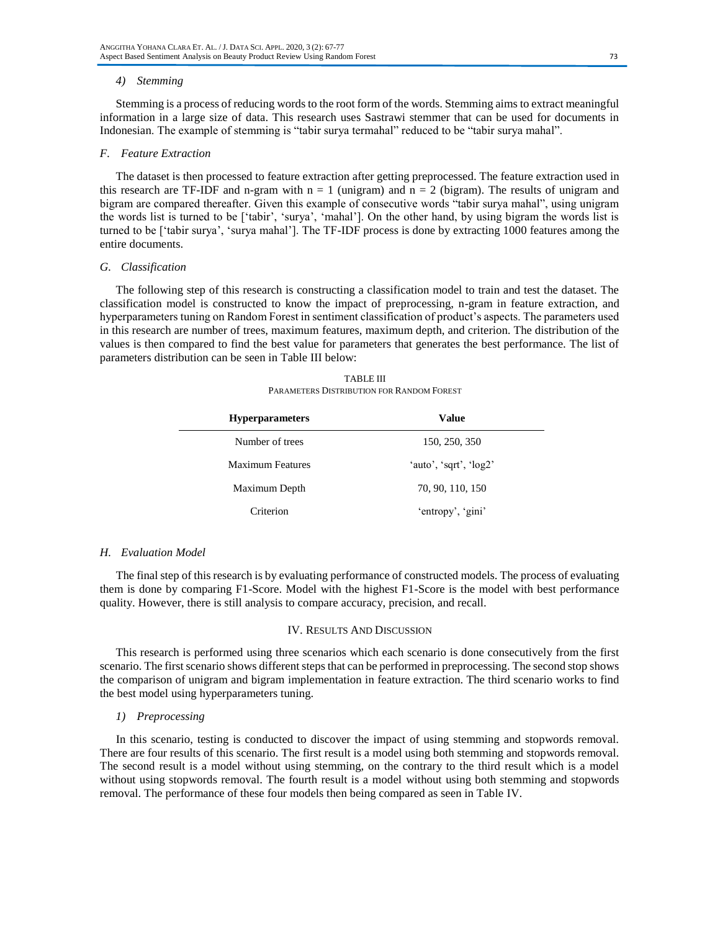#### *4) Stemming*

Stemming is a process of reducing words to the root form of the words. Stemming aims to extract meaningful information in a large size of data. This research uses Sastrawi stemmer that can be used for documents in Indonesian. The example of stemming is "tabir surya termahal" reduced to be "tabir surya mahal".

#### *F. Feature Extraction*

The dataset is then processed to feature extraction after getting preprocessed. The feature extraction used in this research are TF-IDF and n-gram with  $n = 1$  (unigram) and  $n = 2$  (bigram). The results of unigram and bigram are compared thereafter. Given this example of consecutive words "tabir surya mahal", using unigram the words list is turned to be ['tabir', 'surya', 'mahal']. On the other hand, by using bigram the words list is turned to be ['tabir surya', 'surya mahal']. The TF-IDF process is done by extracting 1000 features among the entire documents.

# *G. Classification*

The following step of this research is constructing a classification model to train and test the dataset. The classification model is constructed to know the impact of preprocessing, n-gram in feature extraction, and hyperparameters tuning on Random Forest in sentiment classification of product's aspects. The parameters used in this research are number of trees, maximum features, maximum depth, and criterion. The distribution of the values is then compared to find the best value for parameters that generates the best performance. The list of parameters distribution can be seen in Table III below:

TABLE III PARAMETERS DISTRIBUTION FOR RANDOM FOREST

| <b>Hyperparameters</b>  | Value                  |  |  |
|-------------------------|------------------------|--|--|
| Number of trees         | 150, 250, 350          |  |  |
| <b>Maximum Features</b> | 'auto', 'sqrt', 'log2' |  |  |
| Maximum Depth           | 70, 90, 110, 150       |  |  |
| Criterion               | 'entropy', 'gini'      |  |  |

# *H. Evaluation Model*

The final step of this research is by evaluating performance of constructed models. The process of evaluating them is done by comparing F1-Score. Model with the highest F1-Score is the model with best performance quality. However, there is still analysis to compare accuracy, precision, and recall.

#### IV. RESULTS AND DISCUSSION

This research is performed using three scenarios which each scenario is done consecutively from the first scenario. The first scenario shows different steps that can be performed in preprocessing. The second stop shows the comparison of unigram and bigram implementation in feature extraction. The third scenario works to find the best model using hyperparameters tuning.

# *1) Preprocessing*

In this scenario, testing is conducted to discover the impact of using stemming and stopwords removal. There are four results of this scenario. The first result is a model using both stemming and stopwords removal. The second result is a model without using stemming, on the contrary to the third result which is a model without using stopwords removal. The fourth result is a model without using both stemming and stopwords removal. The performance of these four models then being compared as seen in Table IV.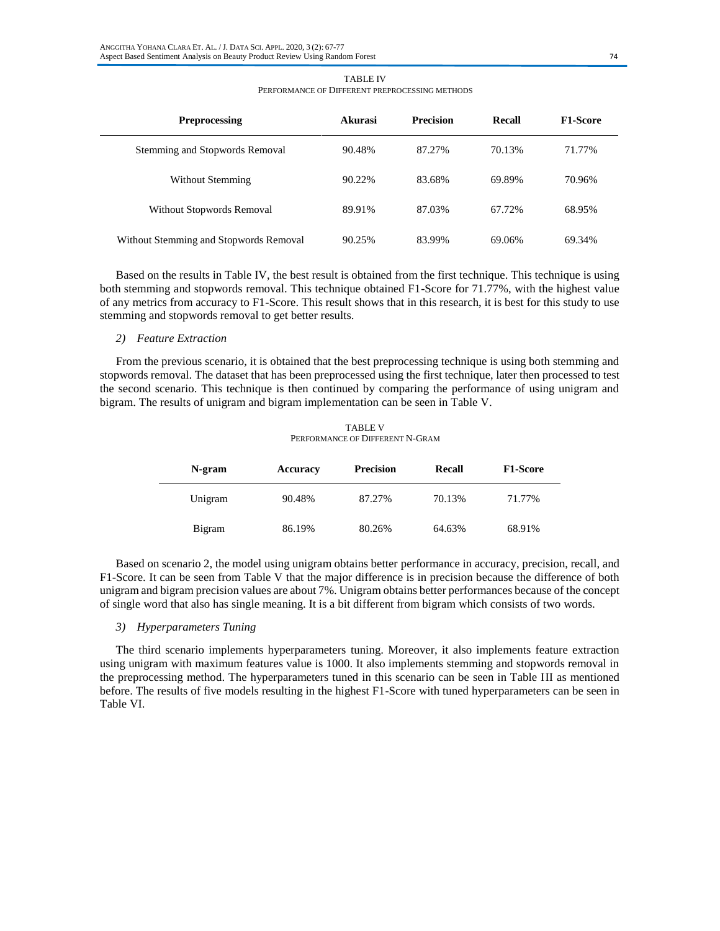| <b>Preprocessing</b>                   | Akurasi | <b>Precision</b> | Recall | <b>F1-Score</b> |
|----------------------------------------|---------|------------------|--------|-----------------|
| Stemming and Stopwords Removal         | 90.48%  | 87.27%           | 70.13% | 71.77%          |
| Without Stemming                       | 90.22%  | 83.68%           | 69.89% | 70.96%          |
| Without Stopwords Removal              | 89.91%  | 87.03%           | 67.72% | 68.95%          |
| Without Stemming and Stopwords Removal | 90.25%  | 83.99%           | 69.06% | 69.34%          |

TABLE IV PERFORMANCE OF DIFFERENT PREPROCESSING METHODS

Based on the results in Table IV, the best result is obtained from the first technique. This technique is using both stemming and stopwords removal. This technique obtained F1-Score for 71.77%, with the highest value of any metrics from accuracy to F1-Score. This result shows that in this research, it is best for this study to use stemming and stopwords removal to get better results.

#### *2) Feature Extraction*

From the previous scenario, it is obtained that the best preprocessing technique is using both stemming and stopwords removal. The dataset that has been preprocessed using the first technique, later then processed to test the second scenario. This technique is then continued by comparing the performance of using unigram and bigram. The results of unigram and bigram implementation can be seen in Table V.

TABLE V PERFORMANCE OF DIFFERENT N-GRAM

| N-gram  | Accuracy | <b>Precision</b> | <b>Recall</b> | <b>F1-Score</b> |
|---------|----------|------------------|---------------|-----------------|
| Unigram | 90.48%   | 87.27%           | 70.13%        | 71.77%          |
| Bigram  | 86.19%   | 80.26%           | 64.63%        | 68.91%          |

Based on scenario 2, the model using unigram obtains better performance in accuracy, precision, recall, and F1-Score. It can be seen from Table V that the major difference is in precision because the difference of both unigram and bigram precision values are about 7%. Unigram obtains better performances because of the concept of single word that also has single meaning. It is a bit different from bigram which consists of two words.

# *3) Hyperparameters Tuning*

The third scenario implements hyperparameters tuning. Moreover, it also implements feature extraction using unigram with maximum features value is 1000. It also implements stemming and stopwords removal in the preprocessing method. The hyperparameters tuned in this scenario can be seen in Table III as mentioned before. The results of five models resulting in the highest F1-Score with tuned hyperparameters can be seen in Table VI.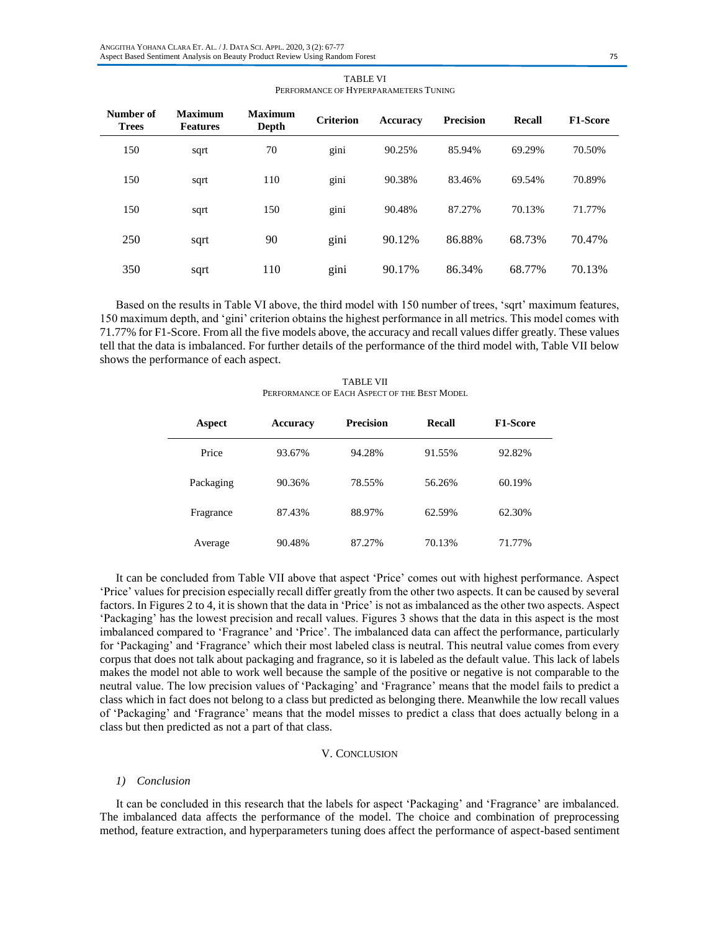| Number of<br><b>Trees</b> | <b>Maximum</b><br><b>Features</b> | <b>Maximum</b><br>Depth | <b>Criterion</b> | Accuracy | <b>Precision</b> | Recall | <b>F1-Score</b> |
|---------------------------|-----------------------------------|-------------------------|------------------|----------|------------------|--------|-----------------|
| 150                       | sqrt                              | 70                      | gini             | 90.25%   | 85.94%           | 69.29% | 70.50%          |
| 150                       | sqrt                              | 110                     | gini             | 90.38%   | 83.46%           | 69.54% | 70.89%          |
| 150                       | sqrt                              | 150                     | gini             | 90.48%   | 87.27%           | 70.13% | 71.77%          |
| 250                       | sqrt                              | 90                      | gini             | 90.12%   | 86.88%           | 68.73% | 70.47%          |
| 350                       | sqrt                              | 110                     | gini             | 90.17%   | 86.34%           | 68.77% | 70.13%          |

TABLE VI PERFORMANCE OF HYPERPARAMETERS TUNING

Based on the results in Table VI above, the third model with 150 number of trees, 'sqrt' maximum features, 150 maximum depth, and 'gini' criterion obtains the highest performance in all metrics. This model comes with 71.77% for F1-Score. From all the five models above, the accuracy and recall values differ greatly. These values tell that the data is imbalanced. For further details of the performance of the third model with, Table VII below shows the performance of each aspect.

TABLE VII PERFORMANCE OF EACH ASPECT OF THE BEST MODEL

| Aspect    | <b>Accuracy</b> | <b>Precision</b> | Recall | <b>F1-Score</b> |  |
|-----------|-----------------|------------------|--------|-----------------|--|
| Price     | 93.67%          | 94.28%           | 91.55% | 92.82%          |  |
| Packaging | 90.36%          | 78.55%           | 56.26% | 60.19%          |  |
| Fragrance | 87.43%          | 88.97%           | 62.59% | 62.30%          |  |
| Average   | 90.48%          | 87.27%           | 70.13% | 71.77%          |  |

It can be concluded from Table VII above that aspect 'Price' comes out with highest performance. Aspect 'Price' values for precision especially recall differ greatly from the other two aspects. It can be caused by several factors. In Figures 2 to 4, it is shown that the data in 'Price' is not as imbalanced as the other two aspects. Aspect 'Packaging' has the lowest precision and recall values. Figures 3 shows that the data in this aspect is the most imbalanced compared to 'Fragrance' and 'Price'. The imbalanced data can affect the performance, particularly for 'Packaging' and 'Fragrance' which their most labeled class is neutral. This neutral value comes from every corpus that does not talk about packaging and fragrance, so it is labeled as the default value. This lack of labels makes the model not able to work well because the sample of the positive or negative is not comparable to the neutral value. The low precision values of 'Packaging' and 'Fragrance' means that the model fails to predict a class which in fact does not belong to a class but predicted as belonging there. Meanwhile the low recall values of 'Packaging' and 'Fragrance' means that the model misses to predict a class that does actually belong in a class but then predicted as not a part of that class.

# V. CONCLUSION

#### *1) Conclusion*

It can be concluded in this research that the labels for aspect 'Packaging' and 'Fragrance' are imbalanced. The imbalanced data affects the performance of the model. The choice and combination of preprocessing method, feature extraction, and hyperparameters tuning does affect the performance of aspect-based sentiment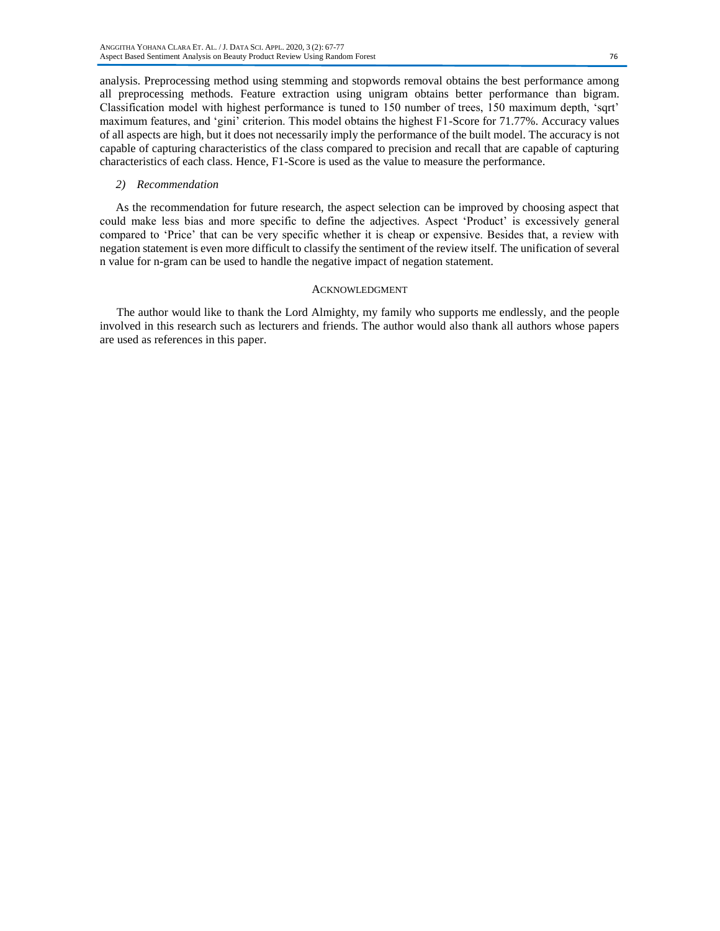analysis. Preprocessing method using stemming and stopwords removal obtains the best performance among all preprocessing methods. Feature extraction using unigram obtains better performance than bigram. Classification model with highest performance is tuned to 150 number of trees, 150 maximum depth, 'sqrt' maximum features, and 'gini' criterion. This model obtains the highest F1-Score for 71.77%. Accuracy values of all aspects are high, but it does not necessarily imply the performance of the built model. The accuracy is not capable of capturing characteristics of the class compared to precision and recall that are capable of capturing characteristics of each class. Hence, F1-Score is used as the value to measure the performance.

#### *2) Recommendation*

As the recommendation for future research, the aspect selection can be improved by choosing aspect that could make less bias and more specific to define the adjectives. Aspect 'Product' is excessively general compared to 'Price' that can be very specific whether it is cheap or expensive. Besides that, a review with negation statement is even more difficult to classify the sentiment of the review itself. The unification of several n value for n-gram can be used to handle the negative impact of negation statement.

# ACKNOWLEDGMENT

The author would like to thank the Lord Almighty, my family who supports me endlessly, and the people involved in this research such as lecturers and friends. The author would also thank all authors whose papers are used as references in this paper.